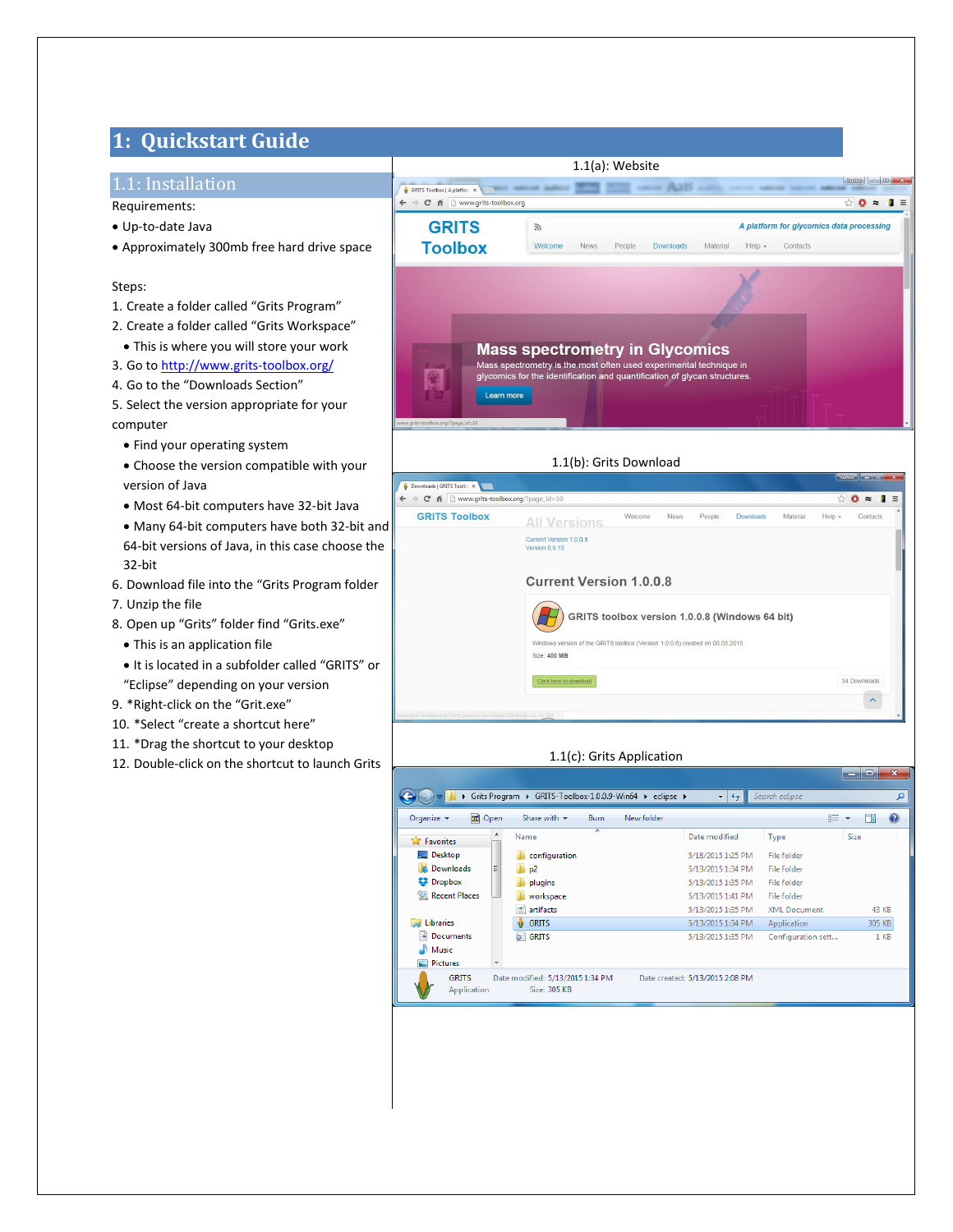# **1: Quickstart Guide**

# 1.1: Installation

- Requirements:
- Up-to-date Java
- Approximately 300mb free hard drive space

### Steps:

- 1. Create a folder called "Grits Program"
- 2. Create a folder called "Grits Workspace"
- This is where you will store your work
- 3. Go t[o http://www.grits-toolbox.org/](http://www.grits-toolbox.org/)
- 4. Go to the "Downloads Section"
- 5. Select the version appropriate for your computer
	- Find your operating system
	- Choose the version compatible with your version of Java
	- Most 64-bit computers have 32-bit Java
	- Many 64-bit computers have both 32-bit and 64-bit versions of Java, in this case choose the 32-bit
- 6. Download file into the "Grits Program folder
- 7. Unzip the file
- 8. Open up "Grits" folder find "Grits.exe"
	- This is an application file
	- It is located in a subfolder called "GRITS" or "Eclipse" depending on your version
- 9. \*Right-click on the "Grit.exe"
- 10. \*Select "create a shortcut here"
- 11. \*Drag the shortcut to your desktop
- 12. Double-click on the shortcut to launch Grits



### 1.1(c): Grits Application

Windows version of the GRITS toolbox (Version 1.0.0.8) created on 05.03.2015.

Current Version 1.0.0.8<br>Version 0.9.15

H

Size: 400 MB

Click here to dow

**Current Version 1.0.0.8** 



GRITS toolbox version 1.0.0.8 (Windows 64 bit)

34 Downloads

 $\mathbf{x}$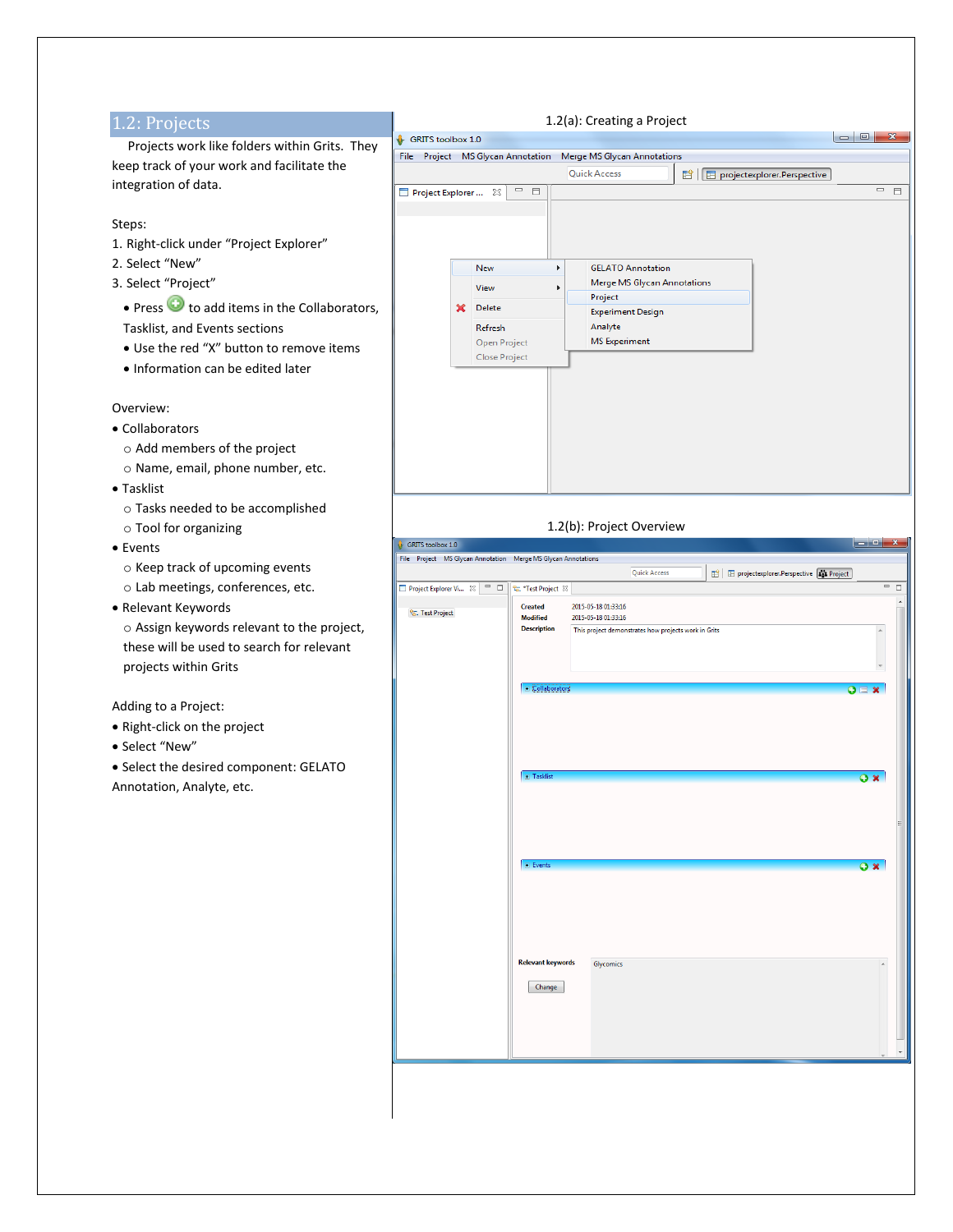#### 1.2: Projects 1.2(a): Creating a Project  $\begin{array}{|c|c|c|c|c|}\hline \multicolumn{1}{|c|}{\mathbf{C}} & \multicolumn{1}{|c|}{\mathbf{E}} & \multicolumn{1}{|c|}{\mathbf{X}} \\ \hline \multicolumn{1}{|c|}{\mathbf{C}} & \multicolumn{1}{|c|}{\mathbf{E}} & \multicolumn{1}{|c|}{\mathbf{X}} \\ \hline \multicolumn{1}{|c|}{\mathbf{C}} & \multicolumn{1}{|c|}{\mathbf{E}} & \multicolumn{1}{|c|}{\mathbf{X}} \\ \hline \multicolumn{1}{|c|}{\mathbf{C}} & \multicolumn{1}{|c|}{\$  $\mathbf{\hat{F}}$  GRITS toolbox 1.0 Projects work like folders within Grits. They File Project MS Glycan Annotation Merge MS Glycan Annotations keep track of your work and facilitate the **Quick Access** FI | E projectexplorer.Perspective integration of data.  $\boxed{\begin{array}{|c|c|c|c|c|}\hline \text{Project Explorer} & \text{ $\boxtimes$} & \text{ $\Box$} & \text{ $\Box$} \\\hline \end{array}}$  $=$   $\Box$ Steps: 1. Right-click under "Project Explorer" 2. Select "New" **GELATO Annotation** New 3. Select "Project" Merge MS Glycan Annotations View Project • Press  $\bullet$  to add items in the Collaborators, X Delete **Experiment Design** Analyte Tasklist, and Events sections Refresh **MS** Experiment Open Project Use the red "X" button to remove items Close Project • Information can be edited later Overview: Collaborators o Add members of the project o Name, email, phone number, etc. Tasklist o Tasks needed to be accomplished 1.2(b): Project Overviewo Tool for organizing  $\bullet$  GRITS toolbox 1.0 Events File Project MS Glycan Annotation Merge MS Glycan Annotations o Keep track of upcoming events  $\mathbb{B}$  |  $\boxplus$  projectexplorer. Perspective  $\boxed{\mathbf{f_{2}^{\prime 2}}}$  Project **Ouick Access** o Lab meetings, conferences, etc. Relevant Keywords Created 2015-05-18 01:33:16 <sup>Q</sup><sub>G</sub>. Test Project **Modified** 2015-05-18 01:33:16 o Assign keywords relevant to the project, **Description** This project demonstrates how projects work in Grits these will be used to search for relevant projects within Grits  $\overline{\mathbf{o}}$ Adding to a Project: Right-click on the project Select "New" • Select the desired component: GELATO  $\mathbf{a} \times$ Annotation, Analyte, etc. **E** Event  $\overline{\mathbf{o}}$  x **Relevant keywords** Glycomics Change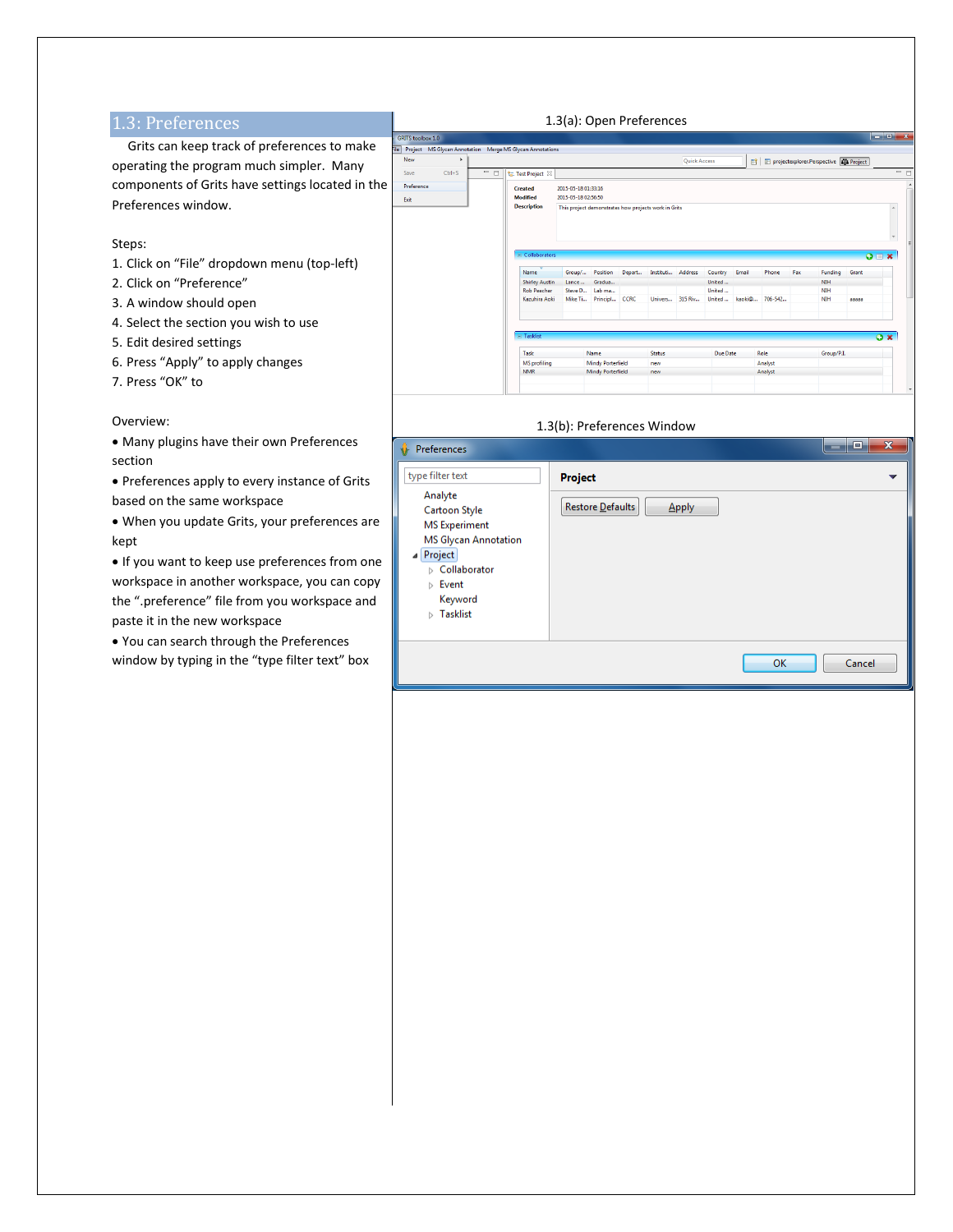# 1.3: Preferences

 Grits can keep track of preferences to make operating the program much simpler. Many components of Grits have settings located in the Preferences window.

### Steps:

- 1. Click on "File" dropdown menu (top-left)
- 2. Click on "Preference"
- 3. A window should open
- 4. Select the section you wish to use
- 5. Edit desired settings
- 6. Press "Apply" to apply changes
- 7. Press "OK" to

#### Overview:

 Many plugins have their own Preferences section

 Preferences apply to every instance of Grits based on the same workspace

 When you update Grits, your preferences are kept

 $\bullet$  If you want to keep use preferences from one workspace in another workspace, you can copy the ".preference" file from you workspace and paste it in the new workspace

 You can search through the Preferences window by typing in the "type filter text" box



| 1.3(b): Preferences Window                                                                                                                                                                                          |                                             |                   |
|---------------------------------------------------------------------------------------------------------------------------------------------------------------------------------------------------------------------|---------------------------------------------|-------------------|
| Preferences                                                                                                                                                                                                         |                                             | $\mathbf{x}$<br>o |
| type filter text<br>Analyte<br>Cartoon Style<br><b>MS</b> Experiment<br><b>MS Glycan Annotation</b><br><b>Project</b><br>▷ Collaborator<br>$\triangleright$ Event<br>Keyword<br><b>Tasklist</b><br>$\triangleright$ | <b>Project</b><br>Restore Defaults<br>Apply |                   |
|                                                                                                                                                                                                                     | OK                                          | Cancel            |

# 1.3(a): Open Preferences